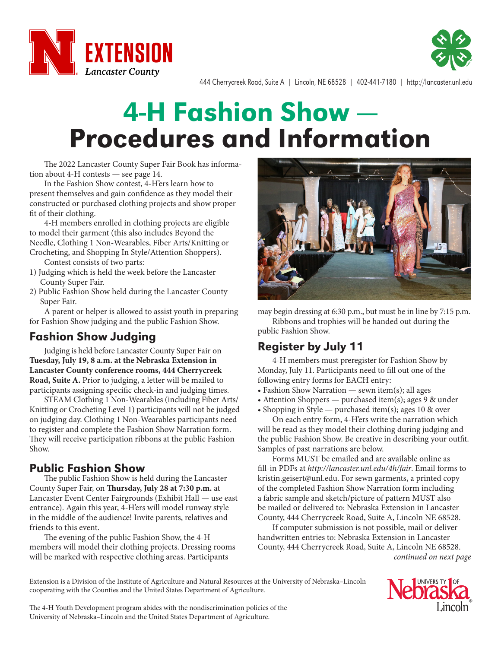



444 Cherrycreek Road, Suite A | Lincoln, NE 68528 | 402-441-7180 | http://lancaster.unl.edu

# 4-H Fashion Show — Procedures and Information

The 2022 Lancaster County Super Fair Book has information about 4-H contests — see page 14.

In the Fashion Show contest, 4-H'ers learn how to present themselves and gain confidence as they model their constructed or purchased clothing projects and show proper fit of their clothing.

4-H members enrolled in clothing projects are eligible to model their garment (this also includes Beyond the Needle, Clothing 1 Non-Wearables, Fiber Arts/Knitting or Crocheting, and Shopping In Style/Attention Shoppers).

Contest consists of two parts:

- 1) Judging which is held the week before the Lancaster County Super Fair.
- 2) Public Fashion Show held during the Lancaster County Super Fair.

A parent or helper is allowed to assist youth in preparing for Fashion Show judging and the public Fashion Show.

### Fashion Show Judging

Judging is held before Lancaster County Super Fair on **Tuesday, July 19, 8 a.m. at the Nebraska Extension in Lancaster County conference rooms, 444 Cherrycreek Road, Suite A.** Prior to judging, a letter will be mailed to participants assigning specific check-in and judging times.

STEAM Clothing 1 Non-Wearables (including Fiber Arts/ Knitting or Crocheting Level 1) participants will not be judged on judging day. Clothing 1 Non-Wearables participants need to register and complete the Fashion Show Narration form. They will receive participation ribbons at the public Fashion Show.

#### Public Fashion Show

The public Fashion Show is held during the Lancaster County Super Fair, on **Thursday, July 28 at 7:30 p.m.** at Lancaster Event Center Fairgrounds (Exhibit Hall — use east entrance). Again this year, 4-H'ers will model runway style in the middle of the audience! Invite parents, relatives and friends to this event.

The evening of the public Fashion Show, the 4-H members will model their clothing projects. Dressing rooms will be marked with respective clothing areas. Participants



may begin dressing at 6:30 p.m., but must be in line by 7:15 p.m. Ribbons and trophies will be handed out during the public Fashion Show.

## Register by July 11

4-H members must preregister for Fashion Show by Monday, July 11. Participants need to fill out one of the following entry forms for EACH entry:

- Fashion Show Narration sewn item(s); all ages
- Attention Shoppers purchased item(s); ages 9 & under
- Shopping in Style purchased item(s); ages 10 & over

On each entry form, 4-H'ers write the narration which will be read as they model their clothing during judging and the public Fashion Show. Be creative in describing your outfit. Samples of past narrations are below.

Forms MUST be emailed and are available online as fill-in PDFs at *http://lancaster.unl.edu/4h/fair*. Email forms to kristin.geisert@unl.edu. For sewn garments, a printed copy of the completed Fashion Show Narration form including a fabric sample and sketch/picture of pattern MUST also be mailed or delivered to: Nebraska Extension in Lancaster County, 444 Cherrycreek Road, Suite A, Lincoln NE 68528.

If computer submission is not possible, mail or deliver handwritten entries to: Nebraska Extension in Lancaster County, 444 Cherrycreek Road, Suite A, Lincoln NE 68528. *continued on next page*

Extension is a Division of the Institute of Agriculture and Natural Resources at the University of Nebraska–Lincoln cooperating with the Counties and the United States Department of Agriculture.



The 4-H Youth Development program abides with the nondiscrimination policies of the University of Nebraska–Lincoln and the United States Department of Agriculture.